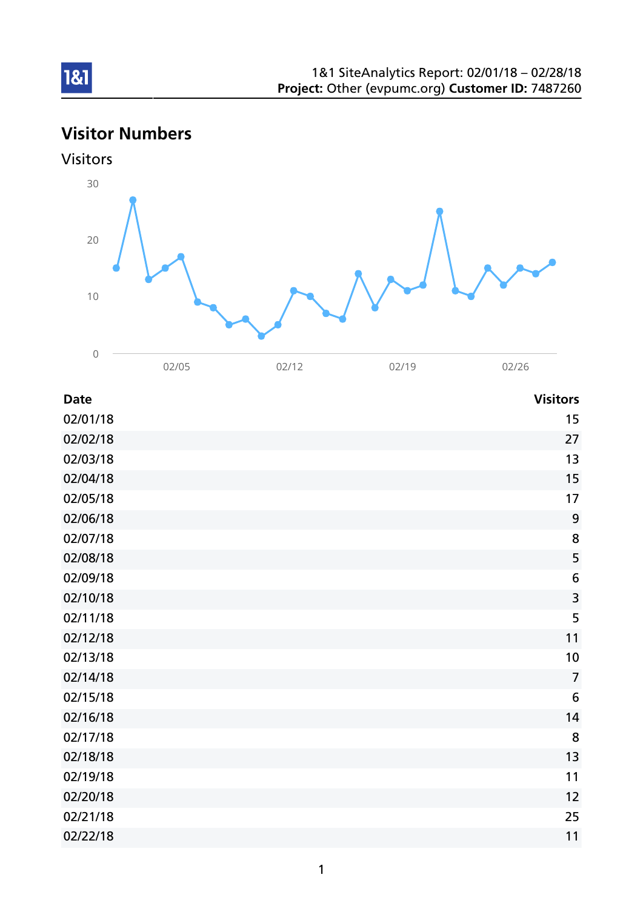# Visitor Numbers



| <b>Date</b> | <b>Visitors</b> |
|-------------|-----------------|
| 02/01/18    | 15              |
| 02/02/18    | 27              |
| 02/03/18    | 13              |
| 02/04/18    | 15              |
| 02/05/18    | 17              |
| 02/06/18    | 9               |
| 02/07/18    | 8               |
| 02/08/18    | 5               |
| 02/09/18    | 6               |
| 02/10/18    | 3               |
| 02/11/18    | 5               |
| 02/12/18    | 11              |
| 02/13/18    | 10              |
| 02/14/18    | $\overline{7}$  |
| 02/15/18    | 6               |
| 02/16/18    | 14              |
| 02/17/18    | 8               |
| 02/18/18    | 13              |
| 02/19/18    | 11              |
| 02/20/18    | 12              |
| 02/21/18    | 25              |
| 02/22/18    | 11              |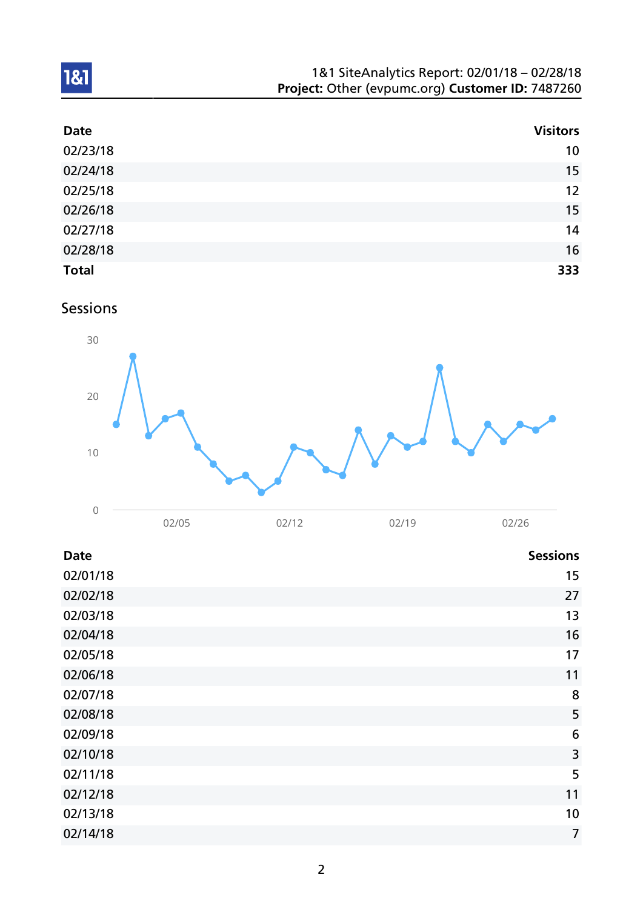| 1&1 SiteAnalytics Report: 02/01/18 - 02/28/18    |  |
|--------------------------------------------------|--|
| Project: Other (evpumc.org) Customer ID: 7487260 |  |

| <b>Date</b>  | <b>Visitors</b> |
|--------------|-----------------|
| 02/23/18     | 10 <sup>°</sup> |
| 02/24/18     | 15              |
| 02/25/18     | 12              |
| 02/26/18     | 15              |
| 02/27/18     | 14              |
| 02/28/18     | 16              |
| <b>Total</b> | 333             |

# Sessions



| <b>Date</b> | <b>Sessions</b> |
|-------------|-----------------|
| 02/01/18    | 15              |
| 02/02/18    | 27              |
| 02/03/18    | 13              |
| 02/04/18    | 16              |
| 02/05/18    | 17              |
| 02/06/18    | 11              |
| 02/07/18    | 8               |
| 02/08/18    | 5               |
| 02/09/18    | 6               |
| 02/10/18    | 3               |
| 02/11/18    | 5               |
| 02/12/18    | 11              |
| 02/13/18    | 10              |
| 02/14/18    | $\overline{7}$  |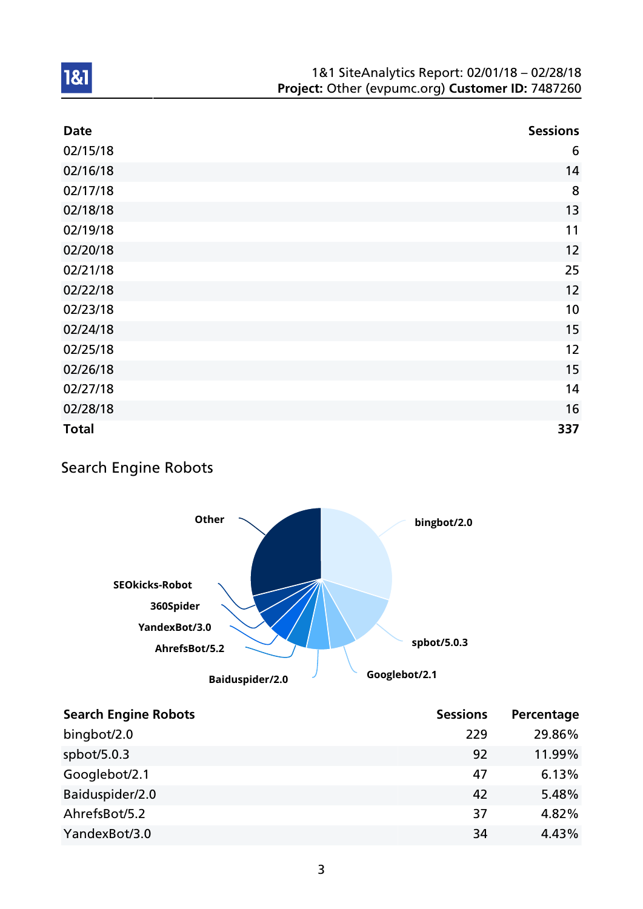| <b>Date</b>  | <b>Sessions</b> |
|--------------|-----------------|
| 02/15/18     | 6               |
| 02/16/18     | 14              |
| 02/17/18     | 8               |
| 02/18/18     | 13              |
| 02/19/18     | 11              |
| 02/20/18     | 12              |
| 02/21/18     | 25              |
| 02/22/18     | 12              |
| 02/23/18     | 10              |
| 02/24/18     | 15              |
| 02/25/18     | 12              |
| 02/26/18     | 15              |
| 02/27/18     | 14              |
| 02/28/18     | 16              |
| <b>Total</b> | 337             |

## Search Engine Robots



| <b>Search Engine Robots</b> | <b>Sessions</b> | Percentage |
|-----------------------------|-----------------|------------|
| bingbot/2.0                 | 229             | 29.86%     |
| spbot/ $5.0.3$              | 92              | 11.99%     |
| Googlebot/2.1               | 47              | 6.13%      |
| Baiduspider/2.0             | 42              | 5.48%      |
| AhrefsBot/5.2               | 37              | 4.82%      |
| YandexBot/3.0               | 34              | 4.43%      |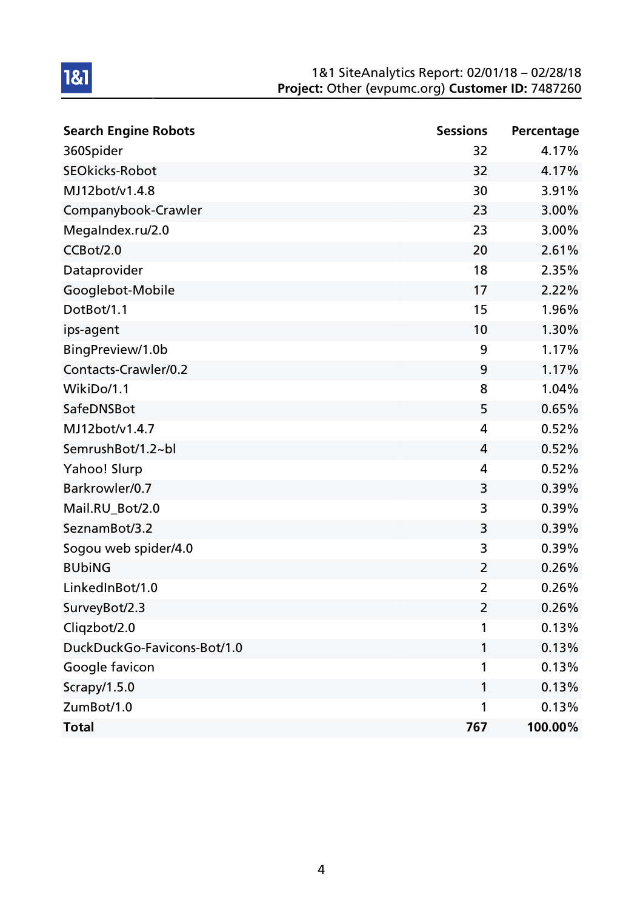| <b>Search Engine Robots</b> | <b>Sessions</b> | Percentage |
|-----------------------------|-----------------|------------|
| 360Spider                   | 32              | 4.17%      |
| <b>SEOkicks-Robot</b>       | 32              | 4.17%      |
| MJ12bot/v1.4.8              | 30              | 3.91%      |
| Companybook-Crawler         | 23              | 3.00%      |
| MegaIndex.ru/2.0            | 23              | 3.00%      |
| CCBot/2.0                   | 20              | 2.61%      |
| Dataprovider                | 18              | 2.35%      |
| Googlebot-Mobile            | 17              | 2.22%      |
| DotBot/1.1                  | 15              | 1.96%      |
| ips-agent                   | 10              | 1.30%      |
| BingPreview/1.0b            | 9               | 1.17%      |
| Contacts-Crawler/0.2        | 9               | 1.17%      |
| WikiDo/1.1                  | 8               | 1.04%      |
| SafeDNSBot                  | 5               | 0.65%      |
| MJ12bot/v1.4.7              | 4               | 0.52%      |
| SemrushBot/1.2~bl           | 4               | 0.52%      |
| Yahoo! Slurp                | 4               | 0.52%      |
| Barkrowler/0.7              | 3               | 0.39%      |
| Mail.RU_Bot/2.0             | 3               | 0.39%      |
| SeznamBot/3.2               | 3               | 0.39%      |
| Sogou web spider/4.0        | 3               | 0.39%      |
| <b>BUbiNG</b>               | $\overline{2}$  | 0.26%      |
| LinkedInBot/1.0             | $\overline{2}$  | 0.26%      |
| SurveyBot/2.3               | $\overline{2}$  | 0.26%      |
| Cliqzbot/2.0                | 1               | 0.13%      |
| DuckDuckGo-Favicons-Bot/1.0 | 1               | 0.13%      |
| Google favicon              | 1               | 0.13%      |
| Scrapy/1.5.0                | 1               | 0.13%      |
| ZumBot/1.0                  | 1               | 0.13%      |
| <b>Total</b>                | 767             | 100.00%    |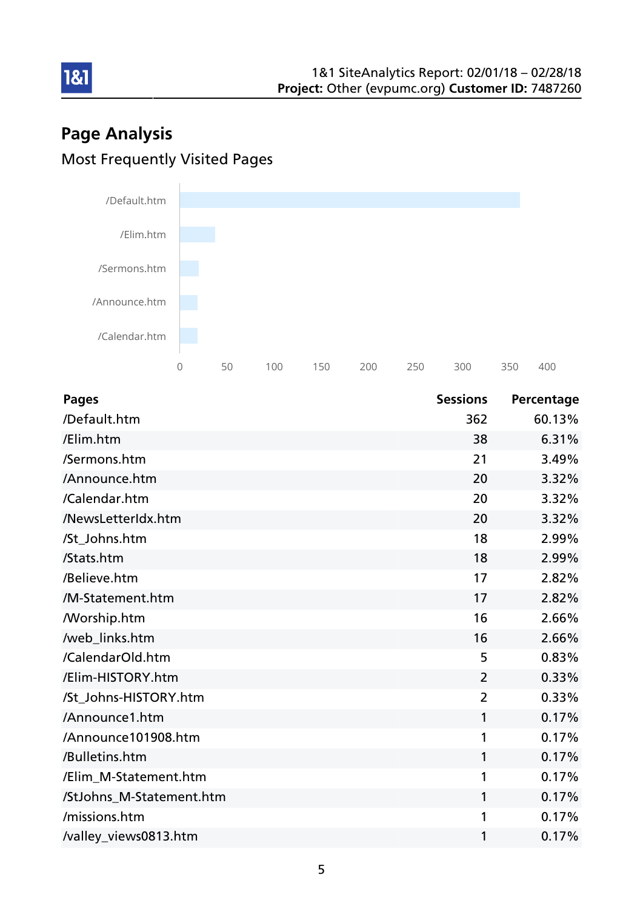# Page Analysis Most Frequently Visited Pages



| <b>Pages</b>             | <b>Sessions</b> | Percentage |
|--------------------------|-----------------|------------|
| /Default.htm             | 362             | 60.13%     |
| /Elim.htm                | 38              | 6.31%      |
| /Sermons.htm             | 21              | 3.49%      |
| /Announce.htm            | 20              | 3.32%      |
| /Calendar.htm            | 20              | 3.32%      |
| /NewsLetterIdx.htm       | 20              | 3.32%      |
| /St_Johns.htm            | 18              | 2.99%      |
| /Stats.htm               | 18              | 2.99%      |
| /Believe.htm             | 17              | 2.82%      |
| /M-Statement.htm         | 17              | 2.82%      |
| <b>Morship.htm</b>       | 16              | 2.66%      |
| /web_links.htm           | 16              | 2.66%      |
| /CalendarOld.htm         | 5               | 0.83%      |
| /Elim-HISTORY.htm        | $\overline{2}$  | 0.33%      |
| /St_Johns-HISTORY.htm    | $\overline{2}$  | 0.33%      |
| /Announce1.htm           | 1               | 0.17%      |
| /Announce101908.htm      | 1               | 0.17%      |
| /Bulletins.htm           | 1               | 0.17%      |
| /Elim M-Statement.htm    | 1               | 0.17%      |
| /StJohns_M-Statement.htm | 1               | 0.17%      |
| /missions.htm            | 1               | 0.17%      |
| /valley_views0813.htm    | 1               | 0.17%      |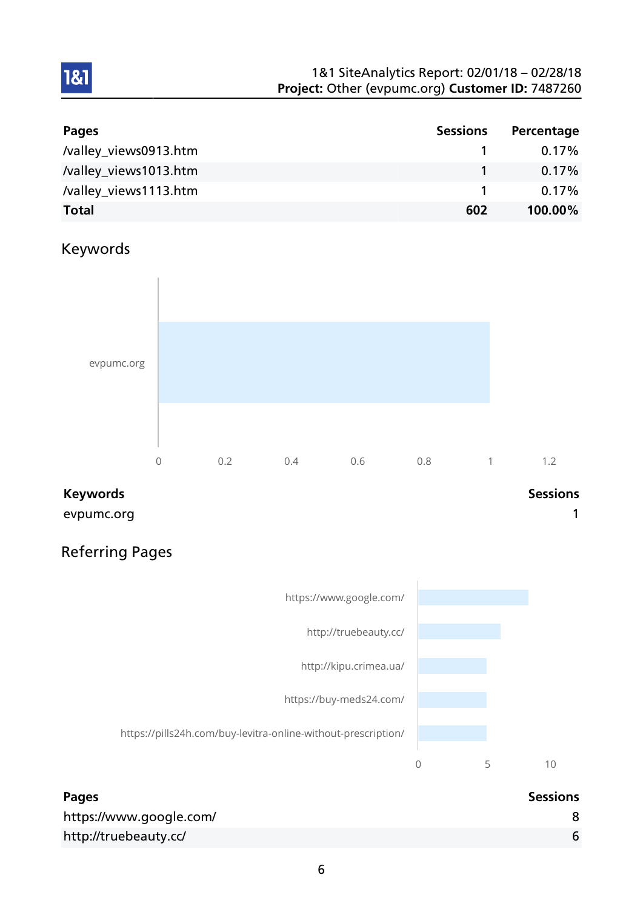| Pages                 | <b>Sessions</b> | Percentage |
|-----------------------|-----------------|------------|
| /valley_views0913.htm |                 | $0.17\%$   |
| /valley_views1013.htm |                 | $0.17\%$   |
| /valley_views1113.htm |                 | $0.17\%$   |
| <b>Total</b>          | 602             | 100.00%    |

## Keywords

1&1



evpumc.org and the contract of the contract of the contract of the contract of the contract of the contract of the contract of the contract of the contract of the contract of the contract of the contract of the contract of

## Referring Pages



| <b>Pages</b>            | <b>Sessions</b> |
|-------------------------|-----------------|
| https://www.google.com/ |                 |
| http://truebeauty.cc/   |                 |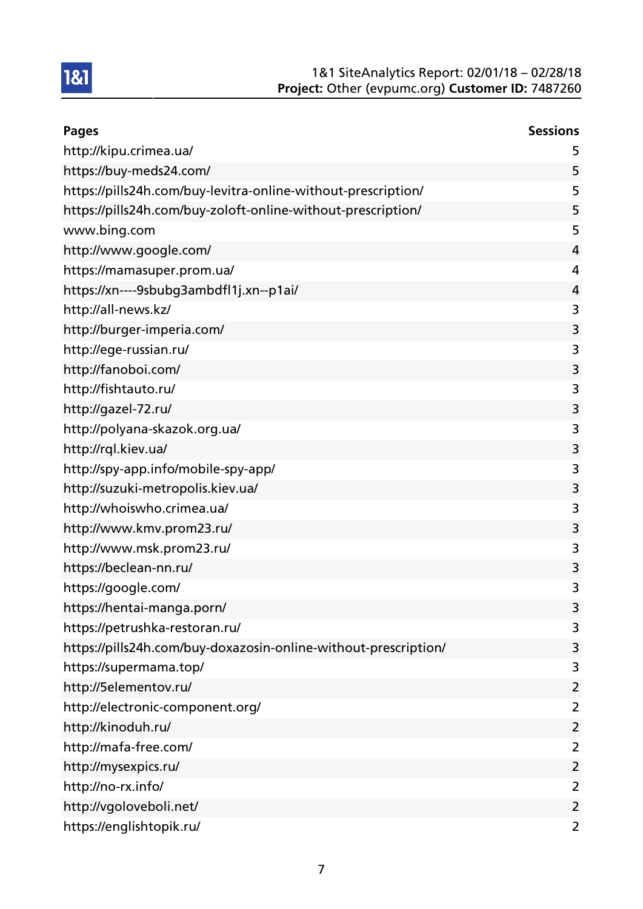

| <b>Pages</b>                                                    | <b>Sessions</b>         |
|-----------------------------------------------------------------|-------------------------|
| http://kipu.crimea.ua/                                          | 5                       |
| https://buy-meds24.com/                                         | 5                       |
| https://pills24h.com/buy-levitra-online-without-prescription/   | 5                       |
| https://pills24h.com/buy-zoloft-online-without-prescription/    | 5                       |
| www.bing.com                                                    | 5                       |
| http://www.google.com/                                          | 4                       |
| https://mamasuper.prom.ua/                                      | 4                       |
| https://xn----9sbubg3ambdfl1j.xn--p1ai/                         | $\overline{4}$          |
| http://all-news.kz/                                             | 3                       |
| http://burger-imperia.com/                                      | 3                       |
| http://ege-russian.ru/                                          | 3                       |
| http://fanoboi.com/                                             | 3                       |
| http://fishtauto.ru/                                            | 3                       |
| http://gazel-72.ru/                                             | 3                       |
| http://polyana-skazok.org.ua/                                   | 3                       |
| http://rql.kiev.ua/                                             | 3                       |
| http://spy-app.info/mobile-spy-app/                             | 3                       |
| http://suzuki-metropolis.kiev.ua/                               | 3                       |
| http://whoiswho.crimea.ua/                                      | 3                       |
| http://www.kmv.prom23.ru/                                       | 3                       |
| http://www.msk.prom23.ru/                                       | 3                       |
| https://beclean-nn.ru/                                          | 3                       |
| https://google.com/                                             | 3                       |
| https://hentai-manga.porn/                                      | 3                       |
| https://petrushka-restoran.ru/                                  | 3                       |
| https://pills24h.com/buy-doxazosin-online-without-prescription/ | 3                       |
| https://supermama.top/                                          | 3                       |
| http://5elementov.ru/                                           | $\overline{2}$          |
| http://electronic-component.org/                                | 2                       |
| http://kinoduh.ru/                                              | $\overline{2}$          |
| http://mafa-free.com/                                           | $\overline{2}$          |
| http://mysexpics.ru/                                            | $\overline{2}$          |
| http://no-rx.info/                                              | $\overline{2}$          |
| http://vgoloveboli.net/                                         | $\overline{\mathbf{c}}$ |
| https://englishtopik.ru/                                        | $\overline{2}$          |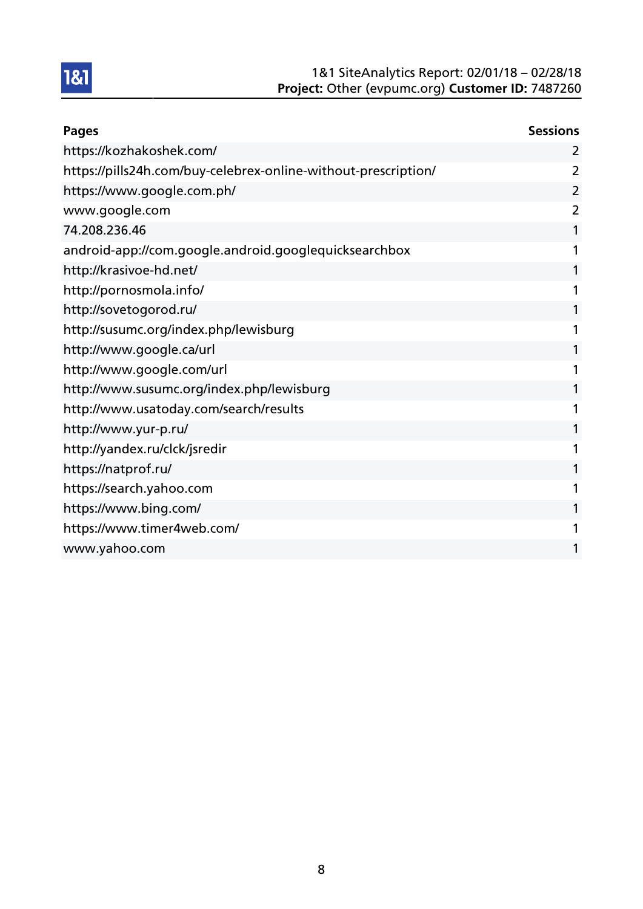

| <b>Pages</b>                                                   | <b>Sessions</b> |
|----------------------------------------------------------------|-----------------|
| https://kozhakoshek.com/                                       | 2               |
| https://pills24h.com/buy-celebrex-online-without-prescription/ | 2               |
| https://www.google.com.ph/                                     | 2               |
| www.google.com                                                 | 2               |
| 74.208.236.46                                                  | 1               |
| android-app://com.google.android.googlequicksearchbox          |                 |
| http://krasivoe-hd.net/                                        | 1               |
| http://pornosmola.info/                                        | 1               |
| http://sovetogorod.ru/                                         | 1               |
| http://susumc.org/index.php/lewisburg                          | 1               |
| http://www.google.ca/url                                       | 1               |
| http://www.google.com/url                                      | 1               |
| http://www.susumc.org/index.php/lewisburg                      | 1               |
| http://www.usatoday.com/search/results                         | 1               |
| http://www.yur-p.ru/                                           | 1               |
| http://yandex.ru/clck/jsredir                                  | 1               |
| https://natprof.ru/                                            | 1               |
| https://search.yahoo.com                                       | 1               |
| https://www.bing.com/                                          | 1               |
| https://www.timer4web.com/                                     |                 |
| www.yahoo.com                                                  | 1               |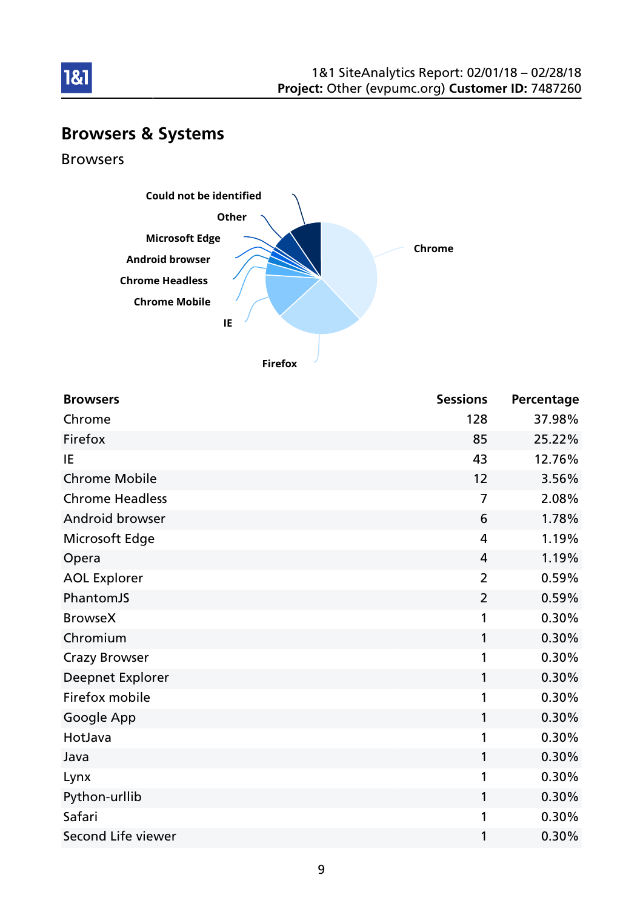

## Browsers & Systems

Browsers



| <b>Browsers</b>        | <b>Sessions</b> | Percentage |
|------------------------|-----------------|------------|
| Chrome                 | 128             | 37.98%     |
| Firefox                | 85              | 25.22%     |
| IE                     | 43              | 12.76%     |
| <b>Chrome Mobile</b>   | 12              | 3.56%      |
| <b>Chrome Headless</b> | $\overline{7}$  | 2.08%      |
| Android browser        | 6               | 1.78%      |
| Microsoft Edge         | 4               | 1.19%      |
| Opera                  | 4               | 1.19%      |
| <b>AOL Explorer</b>    | $\overline{2}$  | 0.59%      |
| PhantomJS              | $\overline{2}$  | 0.59%      |
| <b>BrowseX</b>         | 1               | 0.30%      |
| Chromium               | 1               | 0.30%      |
| <b>Crazy Browser</b>   | 1               | 0.30%      |
| Deepnet Explorer       | 1               | 0.30%      |
| Firefox mobile         | 1               | 0.30%      |
| Google App             | 1               | 0.30%      |
| HotJava                | 1               | 0.30%      |
| Java                   | 1               | 0.30%      |
| Lynx                   | 1               | 0.30%      |
| Python-urllib          | 1               | 0.30%      |
| Safari                 | 1               | 0.30%      |
| Second Life viewer     | 1               | 0.30%      |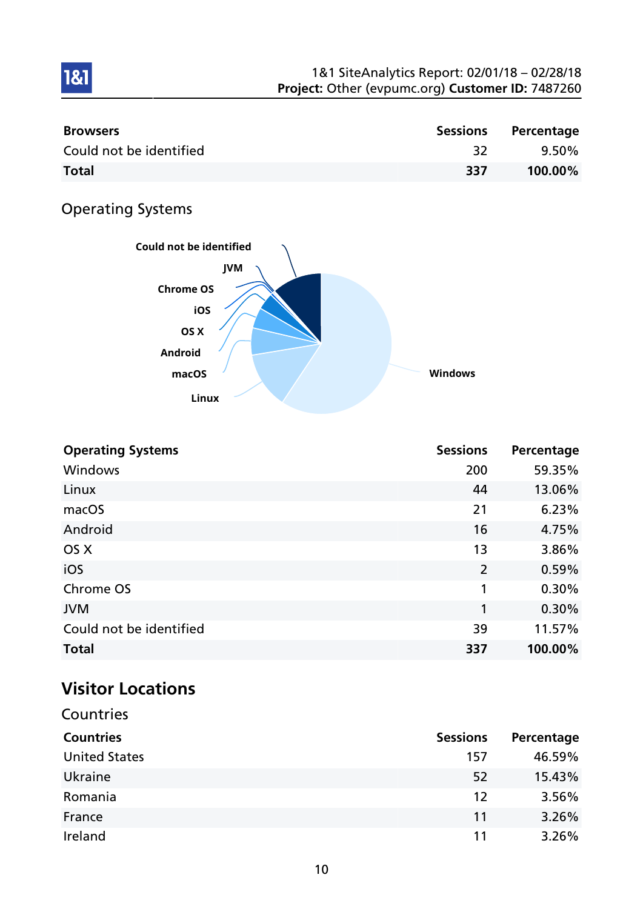| <b>Browsers</b>         | Sessions | Percentage |
|-------------------------|----------|------------|
| Could not be identified |          | $9.50\%$   |
| <b>Total</b>            | 337      | 100.00%    |

## Operating Systems

1&1



| <b>Operating Systems</b> | <b>Sessions</b> | Percentage |
|--------------------------|-----------------|------------|
| Windows                  | 200             | 59.35%     |
| Linux                    | 44              | 13.06%     |
| macOS                    | 21              | 6.23%      |
| Android                  | 16              | 4.75%      |
| OS X                     | 13              | 3.86%      |
| iOS                      | $\overline{2}$  | 0.59%      |
| Chrome OS                | 1               | 0.30%      |
| <b>JVM</b>               | 1               | 0.30%      |
| Could not be identified  | 39              | 11.57%     |
| <b>Total</b>             | 337             | 100.00%    |

# Visitor Locations

| Countries            |                 |            |
|----------------------|-----------------|------------|
| <b>Countries</b>     | <b>Sessions</b> | Percentage |
| <b>United States</b> | 157             | 46.59%     |
| Ukraine              | 52              | 15.43%     |
| Romania              | 12              | 3.56%      |
| France               | 11              | 3.26%      |
| Ireland              | 11              | 3.26%      |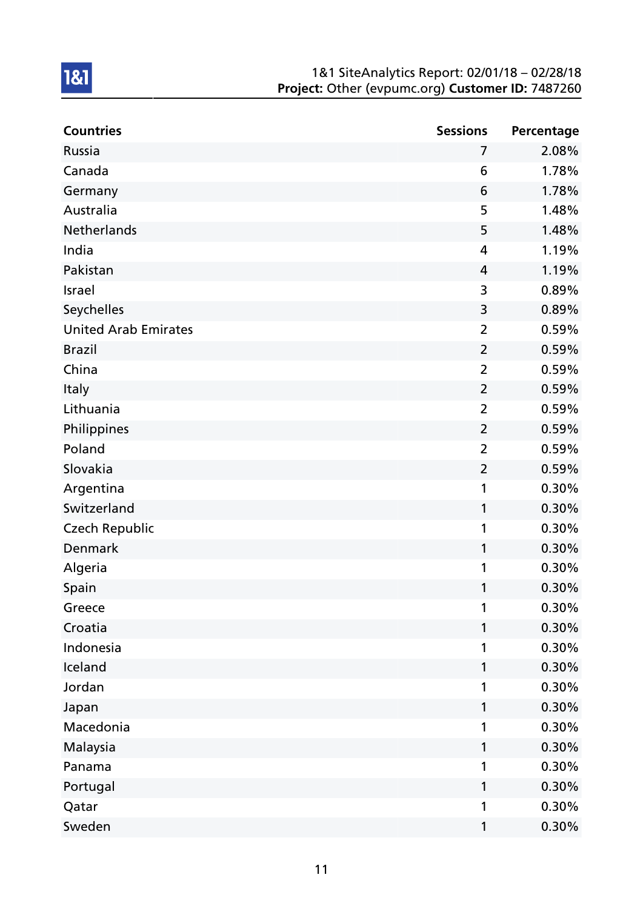| <b>Countries</b>            | <b>Sessions</b> | Percentage |
|-----------------------------|-----------------|------------|
| Russia                      | 7               | 2.08%      |
| Canada                      | 6               | 1.78%      |
| Germany                     | 6               | 1.78%      |
| Australia                   | 5               | 1.48%      |
| Netherlands                 | 5               | 1.48%      |
| India                       | 4               | 1.19%      |
| Pakistan                    | 4               | 1.19%      |
| Israel                      | 3               | 0.89%      |
| Seychelles                  | 3               | 0.89%      |
| <b>United Arab Emirates</b> | $\overline{2}$  | 0.59%      |
| <b>Brazil</b>               | $\overline{2}$  | 0.59%      |
| China                       | $\overline{2}$  | 0.59%      |
| Italy                       | $\overline{2}$  | 0.59%      |
| Lithuania                   | $\overline{2}$  | 0.59%      |
| Philippines                 | $\overline{2}$  | 0.59%      |
| Poland                      | $\overline{2}$  | 0.59%      |
| Slovakia                    | $\overline{2}$  | 0.59%      |
| Argentina                   | 1               | 0.30%      |
| Switzerland                 | 1               | 0.30%      |
| <b>Czech Republic</b>       | 1               | 0.30%      |
| Denmark                     | 1               | 0.30%      |
| Algeria                     | 1               | 0.30%      |
| Spain                       | 1               | 0.30%      |
| Greece                      | 1               | 0.30%      |
| Croatia                     | 1               | 0.30%      |
| Indonesia                   | 1               | 0.30%      |
| Iceland                     | 1               | 0.30%      |
| Jordan                      | 1               | 0.30%      |
| Japan                       | 1               | 0.30%      |
| Macedonia                   | 1               | 0.30%      |
| Malaysia                    | 1               | 0.30%      |
| Panama                      | 1               | 0.30%      |
| Portugal                    | 1               | 0.30%      |
| Qatar                       | 1               | 0.30%      |
| Sweden                      | 1               | 0.30%      |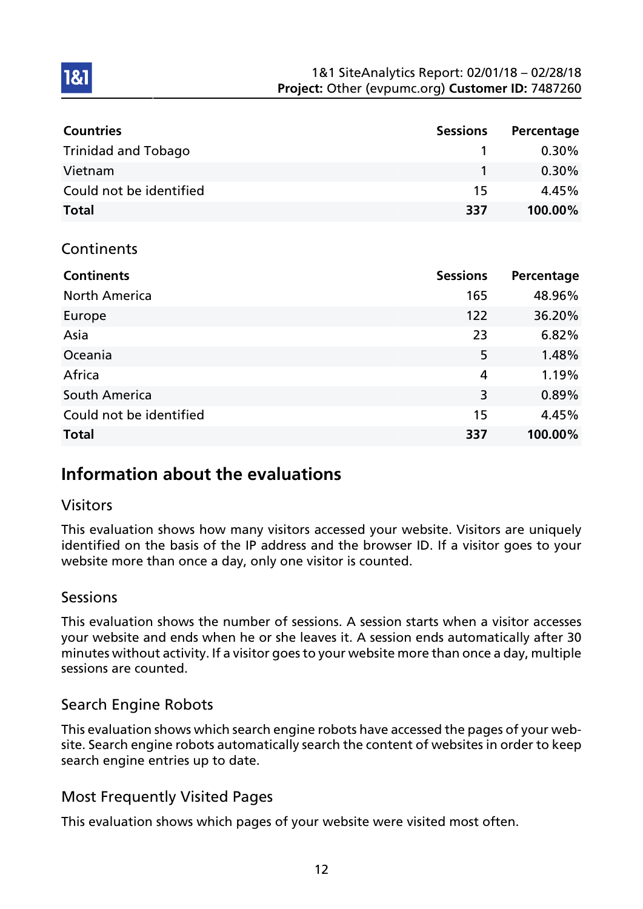| <b>Countries</b>           | <b>Sessions</b> | Percentage |
|----------------------------|-----------------|------------|
| <b>Trinidad and Tobago</b> |                 | $0.30\%$   |
| Vietnam                    |                 | $0.30\%$   |
| Could not be identified    | 15              | 4.45%      |
| <b>Total</b>               | 337             | 100.00%    |

#### **Continents**

**1&1** 

| <b>Continents</b>       | <b>Sessions</b> | Percentage |
|-------------------------|-----------------|------------|
| <b>North America</b>    | 165             | 48.96%     |
| Europe                  | 122             | 36.20%     |
| Asia                    | 23              | 6.82%      |
| Oceania                 | 5               | 1.48%      |
| Africa                  | $\overline{4}$  | 1.19%      |
| South America           | 3               | 0.89%      |
| Could not be identified | 15              | 4.45%      |
| <b>Total</b>            | 337             | 100.00%    |

## Information about the evaluations

#### Visitors

This evaluation shows how many visitors accessed your website. Visitors are uniquely identified on the basis of the IP address and the browser ID. If a visitor goes to your website more than once a day, only one visitor is counted.

#### Sessions

This evaluation shows the number of sessions. A session starts when a visitor accesses your website and ends when he or she leaves it. A session ends automatically after 30 minutes without activity. If a visitor goes to your website more than once a day, multiple sessions are counted.

## Search Engine Robots

This evaluation shows which search engine robots have accessed the pages of your website. Search engine robots automatically search the content of websites in order to keep search engine entries up to date.

#### Most Frequently Visited Pages

This evaluation shows which pages of your website were visited most often.